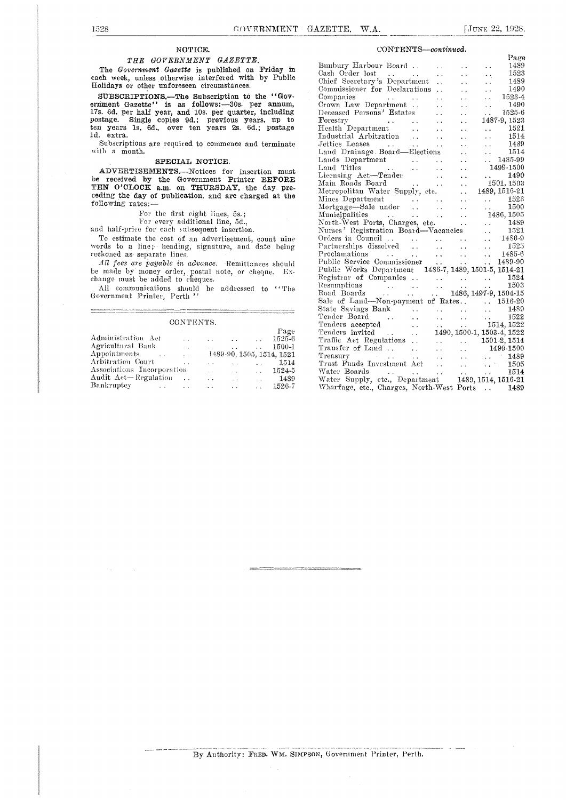#### NOTICE.

#### THE GOVERNMENT GAZETTE.

The Government Gazette is published on Friday in each week, unless otherwise interfered with by Public Holidays or other unforeseen circumstances.

SUBSCRIPTIONS.—The Subscription to the "Gov-<br>ernment Gazette" is as follows:-30s. per annum, 17s. 6d. per half year, and 10s. per quarter, including postage. Single copies 9d.; previous years, up to ten years ls. 6d., over ten years 2s. 6d.; postage ld. extra.

Subscriptions are required to commence and terminate with a month.

#### SPECIAL NOTICE.

ADVERTISEMENTS.-Notices for insertion must be received by the Government Printer BEFORE  $\frac{L_1(1)}{M_2}$  Ros TEN O'CLOCK a.m. on THURSDAY, the day pre-<br>ceding the day of publication, and are charged at the  $\frac{\text{Meth}}{\text{Min}}$ ceding the day of publication, and are charged at the following rates:-

For the first eight lines, 5s.;<br>For every additional line, 5d.,<br>and half-price for each subsequent insertion.<br>To estimate the cost of an advertisement, count nine To estimate the cost of an advertisement, count nine Order<br>words to a line; heading, signature, and date being Partn<br>reckoned as separate lines. Proch

All fees are payable in advance. Remittances should be made by money order, postal note, or cheque. Exchange must be added to cheques.

All communications should be addressed to "The Government Printer, Perth "

#### CONTENTS.

|                             |                      |                      |                          |                         | Page                      | Ter |
|-----------------------------|----------------------|----------------------|--------------------------|-------------------------|---------------------------|-----|
| Administration Act          | $\ddot{\phantom{0}}$ | $\ddot{\phantom{0}}$ | $\sim$ $\sim$            | $\sim 10^{-11}$         | 1525-6                    | Tr: |
| Agricultural Bank           | $\sim$               | $\sim$               | <b>Service</b>           | $\ddot{\phantom{a}}$    | 1500-1                    | Tra |
| Appointments                | $\sim 10$            |                      |                          |                         | 1489-90, 1505, 1514, 1521 | Tre |
| Arbitration Court           |                      |                      | <b>Contract Contract</b> | $\sim 100$ km s $^{-1}$ | 1514                      | Trı |
| Associations Incorporation  |                      | $\ddot{\phantom{a}}$ | $\ddot{\phantom{a}}$     | $\sim 10^{-10}$         | 1524-5                    | Wа  |
| Audit Act—Regulation        | <b>Contract</b>      | $\sim$ $\sim$        | $\sim$                   | $\mathbf{1}$            | 1489                      | W:  |
| Bankruptey<br>$\sim$ $\sim$ |                      | $\ddot{\phantom{0}}$ | $\sim$ $\sim$            | $\mathbf{r}$            | 1526-7                    | Wŀ  |

#### CONTENTS-continued.

|                                                                                                                                                                                                                                                      |  | Page |
|------------------------------------------------------------------------------------------------------------------------------------------------------------------------------------------------------------------------------------------------------|--|------|
| Bunbury Harbour Board 1489<br>Cash Order lost 1523<br>Chief Secretary's Department<br>Commissioner for Declarations 1490<br>Companies                                                                                                                |  |      |
|                                                                                                                                                                                                                                                      |  |      |
|                                                                                                                                                                                                                                                      |  |      |
|                                                                                                                                                                                                                                                      |  |      |
|                                                                                                                                                                                                                                                      |  |      |
|                                                                                                                                                                                                                                                      |  |      |
|                                                                                                                                                                                                                                                      |  |      |
|                                                                                                                                                                                                                                                      |  |      |
|                                                                                                                                                                                                                                                      |  |      |
|                                                                                                                                                                                                                                                      |  |      |
|                                                                                                                                                                                                                                                      |  |      |
| Fealth Department<br>Industrial Arbitration<br>Jetties Leases<br>Land Drainage Board—Elections<br>Land Drainage Board—Elections<br>1514<br>1514<br>1514<br>1514                                                                                      |  |      |
|                                                                                                                                                                                                                                                      |  |      |
|                                                                                                                                                                                                                                                      |  |      |
|                                                                                                                                                                                                                                                      |  |      |
|                                                                                                                                                                                                                                                      |  |      |
|                                                                                                                                                                                                                                                      |  |      |
|                                                                                                                                                                                                                                                      |  |      |
|                                                                                                                                                                                                                                                      |  |      |
|                                                                                                                                                                                                                                                      |  |      |
|                                                                                                                                                                                                                                                      |  |      |
| Land Dramage Board—Elections<br>Land Spartment<br>Land Titles<br>Land Titles<br>Lensing Act—Tender<br>Main Roads Board<br>Metropolitan Water Supply, etc.<br>1489, 1516-21<br>Minnes Department<br>Mortogae—Sale under<br>Mortogae—Sale under<br>Mun |  |      |
|                                                                                                                                                                                                                                                      |  |      |
|                                                                                                                                                                                                                                                      |  |      |
|                                                                                                                                                                                                                                                      |  |      |
|                                                                                                                                                                                                                                                      |  |      |
| Partnerships dissolved<br>Partnerships dissolved<br>Public Service Commissioner<br>Public Service Commissioner<br>Public Works Department<br>1486-7, 1489, 1501-5, 1514-21<br>21                                                                     |  |      |
| Registrar of Companies 1524                                                                                                                                                                                                                          |  |      |
|                                                                                                                                                                                                                                                      |  |      |
|                                                                                                                                                                                                                                                      |  |      |
| Resumptions<br>Road Boards<br>Cale of Land—Non-payment of Rates.<br>Cale of Land—Non-payment of Rates.<br>Rates.<br>Rates.<br>Cale of Land—Non-payment of Rates.<br>Cale of Land —Non-payment of Rates.                                              |  |      |
|                                                                                                                                                                                                                                                      |  |      |
|                                                                                                                                                                                                                                                      |  |      |
|                                                                                                                                                                                                                                                      |  |      |
|                                                                                                                                                                                                                                                      |  |      |
|                                                                                                                                                                                                                                                      |  |      |
|                                                                                                                                                                                                                                                      |  |      |
|                                                                                                                                                                                                                                                      |  |      |
|                                                                                                                                                                                                                                                      |  |      |
|                                                                                                                                                                                                                                                      |  |      |
| $\begin{tabular}{lllllllll} \textbf{Water } \textbf{Boards} & . & . & . & . & . & . & 1514 \\ \textbf{Water } \text{Supply, etc., } \textbf{Department} & \textbf{1489, 1514, 1516-21} & . & . & . & . & . \\ \end{tabular}$                         |  |      |
| Wharfage, etc., Charges, North-West Ports  1489                                                                                                                                                                                                      |  |      |
|                                                                                                                                                                                                                                                      |  |      |

 $\overline{a}$ 

--------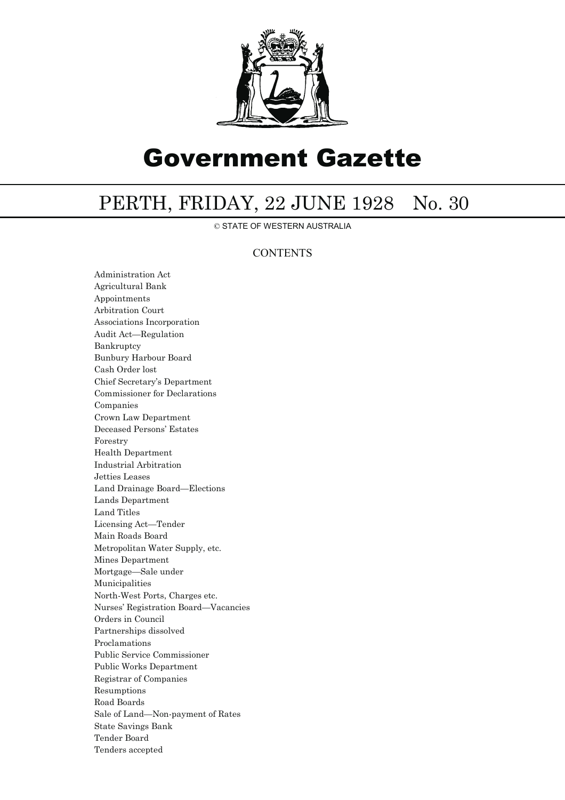

# Government Gazette

## PERTH, FRIDAY, 22 JUNE 1928 No. 30

© STATE OF WESTERN AUSTRALIA

### **CONTENTS**

Administration Act Agricultural Bank Appointments Arbitration Court Associations Incorporation Audit Act—Regulation Bankruptcy Bunbury Harbour Board Cash Order lost Chief Secretary's Department Commissioner for Declarations Companies Crown Law Department Deceased Persons' Estates Forestry Health Department Industrial Arbitration Jetties Leases Land Drainage Board—Elections Lands Department Land Titles Licensing Act—Tender Main Roads Board Metropolitan Water Supply, etc. Mines Department Mortgage—Sale under Municipalities North-West Ports, Charges etc. Nurses' Registration Board—Vacancies Orders in Council Partnerships dissolved Proclamations Public Service Commissioner Public Works Department Registrar of Companies Resumptions Road Boards Sale of Land—Non-payment of Rates State Savings Bank Tender Board Tenders accepted